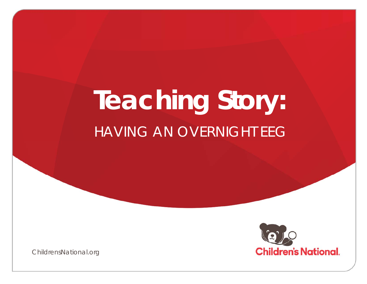# **Teaching Story:**  HAVING AN OVERNIGHT EEG



ChildrensNational.org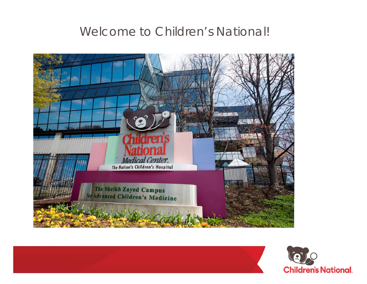#### Welcome to Children's National!



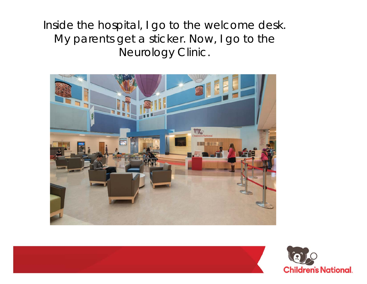Inside the hospital, I go to the welcome desk. My parents get a sticker. Now, I go to the Neurology Clinic.





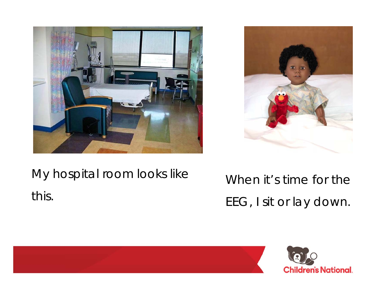



## My hospital room looks like this.

When it's time for the EEG, I sit or lay down.

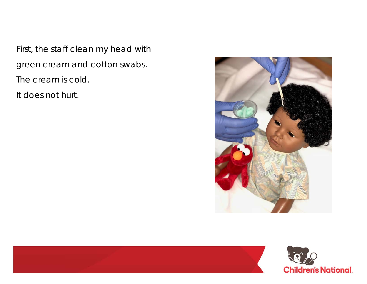First, the staff clean my head with green cream and cotton swabs. The cream is cold.

It does not hurt.



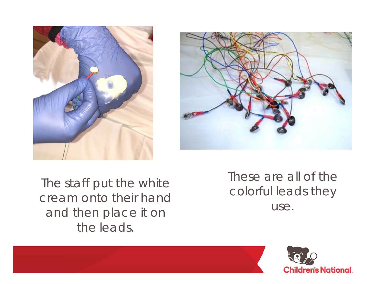



The staff put the white cream onto their hand and then place it on the leads.

These are all of the colorful leads they use.

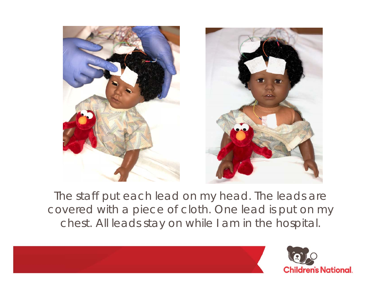

The staff put each lead on my head. The leads are covered with a piece of cloth. One lead is put on my chest. All leads stay on while I am in the hospital.



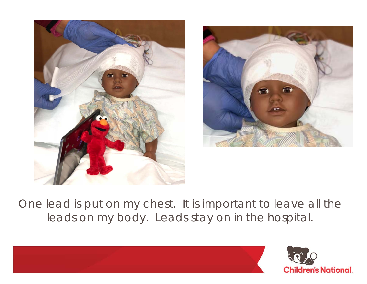



One lead is put on my chest. It is important to leave all the leads on my body. Leads stay on in the hospital.

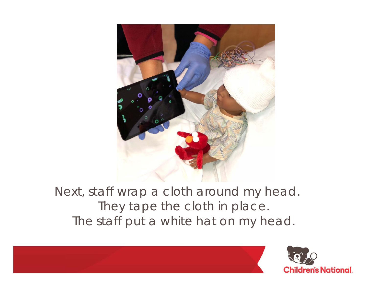

### Next, staff wrap a cloth around my head. They tape the cloth in place. The staff put a white hat on my head.

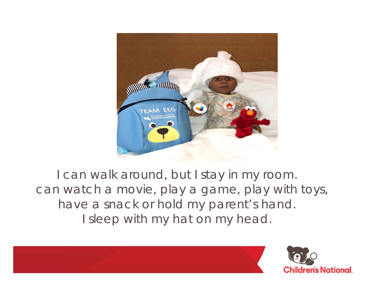

I can walk around, but I stay in my room. can watch a movie, play a game, play with toys, have a snack or hold my parent's hand. I sleep with my hat on my head.

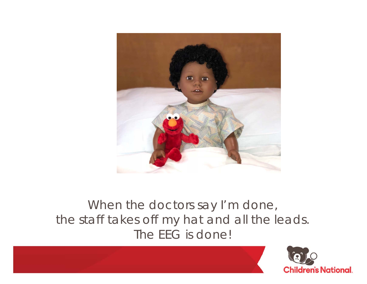

### When the doctors say I'm done, the staff takes off my hat and all the leads. The EEG is done!